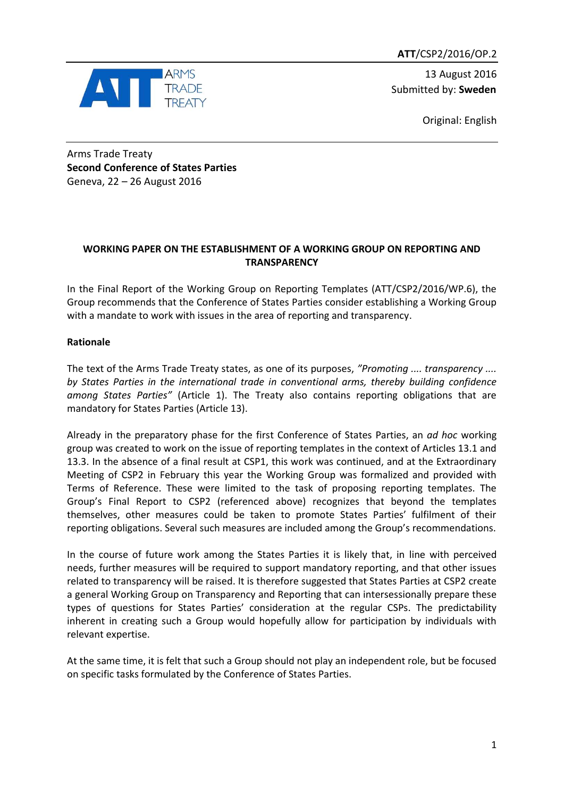**ATT**/CSP2/2016/OP.2



13 August 2016 Submitted by: **Sweden**

Original: English

Arms Trade Treaty **Second Conference of States Parties** Geneva, 22 – 26 August 2016

## **WORKING PAPER ON THE ESTABLISHMENT OF A WORKING GROUP ON REPORTING AND TRANSPARENCY**

In the Final Report of the Working Group on Reporting Templates (ATT/CSP2/2016/WP.6), the Group recommends that the Conference of States Parties consider establishing a Working Group with a mandate to work with issues in the area of reporting and transparency.

# **Rationale**

The text of the Arms Trade Treaty states, as one of its purposes, *"Promoting .... transparency .... by States Parties in the international trade in conventional arms, thereby building confidence among States Parties"* (Article 1). The Treaty also contains reporting obligations that are mandatory for States Parties (Article 13).

Already in the preparatory phase for the first Conference of States Parties, an *ad hoc* working group was created to work on the issue of reporting templates in the context of Articles 13.1 and 13.3. In the absence of a final result at CSP1, this work was continued, and at the Extraordinary Meeting of CSP2 in February this year the Working Group was formalized and provided with Terms of Reference. These were limited to the task of proposing reporting templates. The Group's Final Report to CSP2 (referenced above) recognizes that beyond the templates themselves, other measures could be taken to promote States Parties' fulfilment of their reporting obligations. Several such measures are included among the Group's recommendations.

In the course of future work among the States Parties it is likely that, in line with perceived needs, further measures will be required to support mandatory reporting, and that other issues related to transparency will be raised. It is therefore suggested that States Parties at CSP2 create a general Working Group on Transparency and Reporting that can intersessionally prepare these types of questions for States Parties' consideration at the regular CSPs. The predictability inherent in creating such a Group would hopefully allow for participation by individuals with relevant expertise.

At the same time, it is felt that such a Group should not play an independent role, but be focused on specific tasks formulated by the Conference of States Parties.